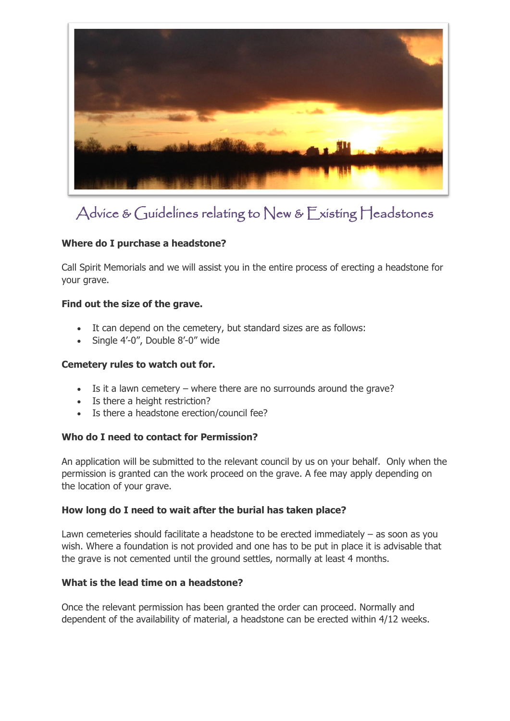

# Advice & Guidelines relating to New & Existing Headstones

# **Where do I purchase a headstone?**

Call Spirit Memorials and we will assist you in the entire process of erecting a headstone for your grave.

## **Find out the size of the grave.**

- It can depend on the cemetery, but standard sizes are as follows:
- Single 4'-0", Double 8'-0" wide

#### **Cemetery rules to watch out for.**

- Is it a lawn cemetery where there are no surrounds around the grave?
- Is there a height restriction?
- Is there a headstone erection/council fee?

## **Who do I need to contact for Permission?**

An application will be submitted to the relevant council by us on your behalf. Only when the permission is granted can the work proceed on the grave. A fee may apply depending on the location of your grave.

#### **How long do I need to wait after the burial has taken place?**

Lawn cemeteries should facilitate a headstone to be erected immediately – as soon as you wish. Where a foundation is not provided and one has to be put in place it is advisable that the grave is not cemented until the ground settles, normally at least 4 months.

## **What is the lead time on a headstone?**

Once the relevant permission has been granted the order can proceed. Normally and dependent of the availability of material, a headstone can be erected within 4/12 weeks.